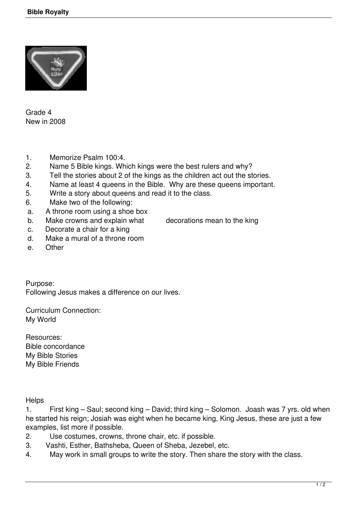

Grade 4 New in 2008

- 1. Memorize Psalm 100:4.
- 2. Name 5 Bible kings. Which kings were the best rulers and why?
- 3. Tell the stories about 2 of the kings as the children act out the stories.
- 4. Name at least 4 queens in the Bible. Why are these queens important.
- 5. Write a story about queens and read it to the class.
- 6. Make two of the following:
- a. A throne room using a shoe box
- b. Make crowns and explain what decorations mean to the king
- c. Decorate a chair for a king
- d. Make a mural of a throne room
- e. Other

Purpose: Following Jesus makes a difference on our lives.

Curriculum Connection: My World

Resources: Bible concordance My Bible Stories My Bible Friends

**Helps** 

1. First king – Saul; second king – David; third king – Solomon. Joash was 7 yrs. old when he started his reign; Josiah was eight when he became king, King Jesus, these are just a few examples, list more if possible.

- 2. Use costumes, crowns, throne chair, etc. if possible.
- 3. Vashti, Esther, Bathsheba, Queen of Sheba, Jezebel, etc.
- 4. May work in small groups to write the story. Then share the story with the class.